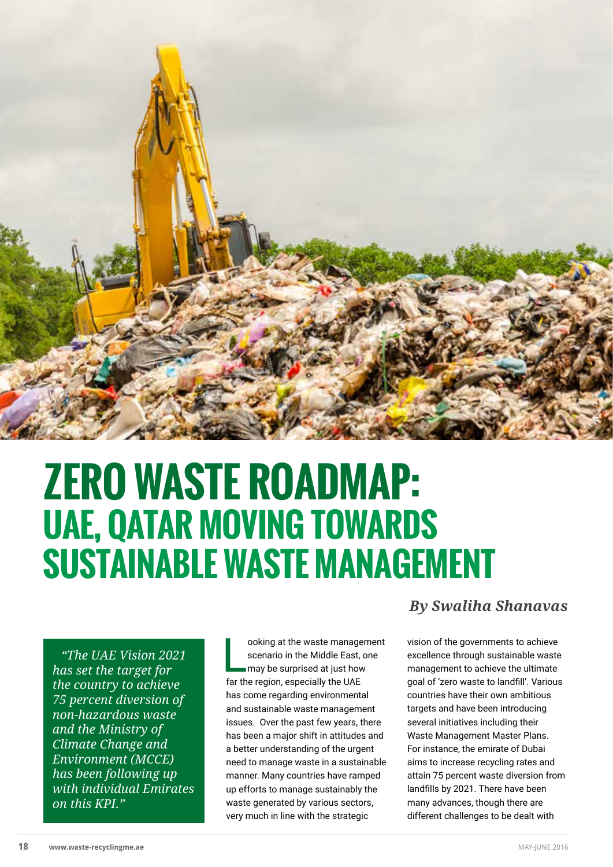

# **ZERO WASTE ROADMAP: UAE, QATAR MOVING TOWARDS SUSTAINABLE WASTE MANAGEMENT**

*"The UAE Vision 2021 has set the target for the country to achieve 75 percent diversion of non-hazardous waste and the Ministry of Climate Change and Environment (MCCE) has been following up with individual Emirates on this KPI."*

ooking at the waste manage<br>scenario in the Middle East,<br>may be surprised at just hov<br>far the region, especially the UAE ooking at the waste management scenario in the Middle East, one may be surprised at just how has come regarding environmental and sustainable waste management issues. Over the past few years, there has been a major shift in attitudes and a better understanding of the urgent need to manage waste in a sustainable manner. Many countries have ramped up efforts to manage sustainably the waste generated by various sectors, very much in line with the strategic

## *By Swaliha Shanavas*

vision of the governments to achieve excellence through sustainable waste management to achieve the ultimate goal of 'zero waste to landfill'. Various countries have their own ambitious targets and have been introducing several initiatives including their Waste Management Master Plans. For instance, the emirate of Dubai aims to increase recycling rates and attain 75 percent waste diversion from landfills by 2021. There have been many advances, though there are different challenges to be dealt with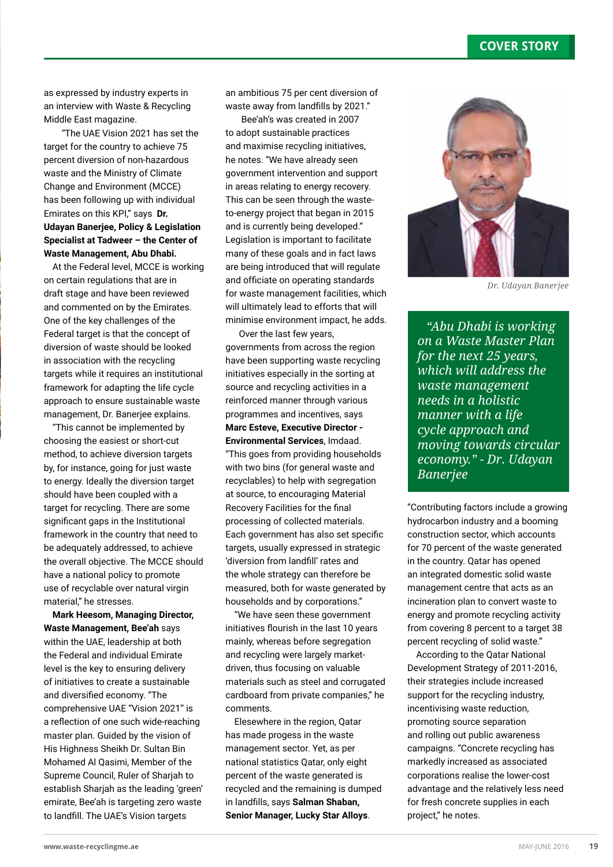## **COVER STORY**

as expressed by industry experts in an interview with Waste & Recycling Middle East magazine.

 "The UAE Vision 2021 has set the target for the country to achieve 75 percent diversion of non-hazardous waste and the Ministry of Climate Change and Environment (MCCE) has been following up with individual Emirates on this KPI," says **Dr. Udayan Banerjee, Policy & Legislation Specialist at Tadweer – the Center of Waste Management, Abu Dhabi.**

At the Federal level, MCCE is working on certain regulations that are in draft stage and have been reviewed and commented on by the Emirates. One of the key challenges of the Federal target is that the concept of diversion of waste should be looked in association with the recycling targets while it requires an institutional framework for adapting the life cycle approach to ensure sustainable waste management, Dr. Banerjee explains.

"This cannot be implemented by choosing the easiest or short-cut method, to achieve diversion targets by, for instance, going for just waste to energy. Ideally the diversion target should have been coupled with a target for recycling. There are some significant gaps in the Institutional framework in the country that need to be adequately addressed, to achieve the overall objective. The MCCE should have a national policy to promote use of recyclable over natural virgin material," he stresses.

**Mark Heesom, Managing Director, Waste Management, Bee'ah** says within the UAE, leadership at both the Federal and individual Emirate level is the key to ensuring delivery of initiatives to create a sustainable and diversified economy. "The comprehensive UAE "Vision 2021" is a reflection of one such wide-reaching master plan. Guided by the vision of His Highness Sheikh Dr. Sultan Bin Mohamed Al Qasimi, Member of the Supreme Council, Ruler of Sharjah to establish Sharjah as the leading 'green' emirate, Bee'ah is targeting zero waste to landfill. The UAE's Vision targets

an ambitious 75 per cent diversion of waste away from landfills by 2021."

 Bee'ah's was created in 2007 to adopt sustainable practices and maximise recycling initiatives, he notes. "We have already seen government intervention and support in areas relating to energy recovery. This can be seen through the wasteto-energy project that began in 2015 and is currently being developed." Legislation is important to facilitate many of these goals and in fact laws are being introduced that will regulate and officiate on operating standards for waste management facilities, which will ultimately lead to efforts that will minimise environment impact, he adds.

 Over the last few years, governments from across the region have been supporting waste recycling initiatives especially in the sorting at source and recycling activities in a reinforced manner through various programmes and incentives, says **Marc Esteve, Executive Director - Environmental Services**, Imdaad. "This goes from providing households with two bins (for general waste and recyclables) to help with segregation at source, to encouraging Material Recovery Facilities for the final processing of collected materials. Each government has also set specific targets, usually expressed in strategic 'diversion from landfill' rates and the whole strategy can therefore be measured, both for waste generated by households and by corporations."

"We have seen these government initiatives flourish in the last 10 years mainly, whereas before segregation and recycling were largely marketdriven, thus focusing on valuable materials such as steel and corrugated cardboard from private companies," he comments.

Elesewhere in the region, Qatar has made progess in the waste management sector. Yet, as per national statistics Qatar, only eight percent of the waste generated is recycled and the remaining is dumped in landfills, says **Salman Shaban, Senior Manager, Lucky Star Alloys**.



*Dr. Udayan Banerjee*

*"Abu Dhabi is working on a Waste Master Plan for the next 25 years, which will address the waste management needs in a holistic manner with a life cycle approach and moving towards circular economy." - Dr. Udayan Banerjee* 

"Contributing factors include a growing hydrocarbon industry and a booming construction sector, which accounts for 70 percent of the waste generated in the country. Qatar has opened an integrated domestic solid waste management centre that acts as an incineration plan to convert waste to energy and promote recycling activity from covering 8 percent to a target 38 percent recycling of solid waste."

According to the Qatar National Development Strategy of 2011-2016, their strategies include increased support for the recycling industry, incentivising waste reduction, promoting source separation and rolling out public awareness campaigns. "Concrete recycling has markedly increased as associated corporations realise the lower-cost advantage and the relatively less need for fresh concrete supplies in each project," he notes.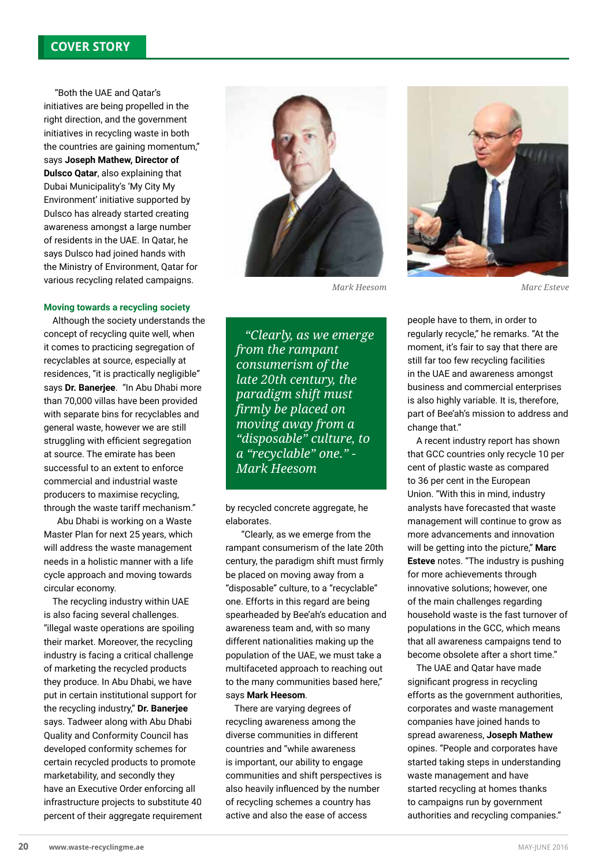## **COVER STORY**

 "Both the UAE and Qatar's initiatives are being propelled in the right direction, and the government initiatives in recycling waste in both the countries are gaining momentum," says **Joseph Mathew, Director of Dulsco Qatar**, also explaining that Dubai Municipality's 'My City My Environment' initiative supported by Dulsco has already started creating awareness amongst a large number of residents in the UAE. In Qatar, he says Dulsco had joined hands with the Ministry of Environment, Qatar for various recycling related campaigns.

#### **Moving towards a recycling society**

Although the society understands the concept of recycling quite well, when it comes to practicing segregation of recyclables at source, especially at residences, "it is practically negligible" says **Dr. Banerjee**. "In Abu Dhabi more than 70,000 villas have been provided with separate bins for recyclables and general waste, however we are still struggling with efficient segregation at source. The emirate has been successful to an extent to enforce commercial and industrial waste producers to maximise recycling, through the waste tariff mechanism."

 Abu Dhabi is working on a Waste Master Plan for next 25 years, which will address the waste management needs in a holistic manner with a life cycle approach and moving towards circular economy.

The recycling industry within UAE is also facing several challenges. "illegal waste operations are spoiling their market. Moreover, the recycling industry is facing a critical challenge of marketing the recycled products they produce. In Abu Dhabi, we have put in certain institutional support for the recycling industry," **Dr. Banerjee** says. Tadweer along with Abu Dhabi Quality and Conformity Council has developed conformity schemes for certain recycled products to promote marketability, and secondly they have an Executive Order enforcing all infrastructure projects to substitute 40 percent of their aggregate requirement



*"Clearly, as we emerge from the rampant consumerism of the late 20th century, the paradigm shift must firmly be placed on moving away from a "disposable" culture, to a "recyclable" one." - Mark Heesom*

by recycled concrete aggregate, he elaborates.

 "Clearly, as we emerge from the rampant consumerism of the late 20th century, the paradigm shift must firmly be placed on moving away from a "disposable" culture, to a "recyclable" one. Efforts in this regard are being spearheaded by Bee'ah's education and awareness team and, with so many different nationalities making up the population of the UAE, we must take a multifaceted approach to reaching out to the many communities based here," says **Mark Heesom**.

There are varying degrees of recycling awareness among the diverse communities in different countries and "while awareness is important, our ability to engage communities and shift perspectives is also heavily influenced by the number of recycling schemes a country has active and also the ease of access



people have to them, in order to regularly recycle," he remarks. "At the moment, it's fair to say that there are still far too few recycling facilities in the UAE and awareness amongst business and commercial enterprises is also highly variable. It is, therefore, part of Bee'ah's mission to address and change that."

A recent industry report has shown that GCC countries only recycle 10 per cent of plastic waste as compared to 36 per cent in the European Union. "With this in mind, industry analysts have forecasted that waste management will continue to grow as more advancements and innovation will be getting into the picture," **Marc Esteve** notes. "The industry is pushing for more achievements through innovative solutions; however, one of the main challenges regarding household waste is the fast turnover of populations in the GCC, which means that all awareness campaigns tend to become obsolete after a short time."

The UAE and Qatar have made significant progress in recycling efforts as the government authorities, corporates and waste management companies have joined hands to spread awareness, **Joseph Mathew** opines. "People and corporates have started taking steps in understanding waste management and have started recycling at homes thanks to campaigns run by government authorities and recycling companies."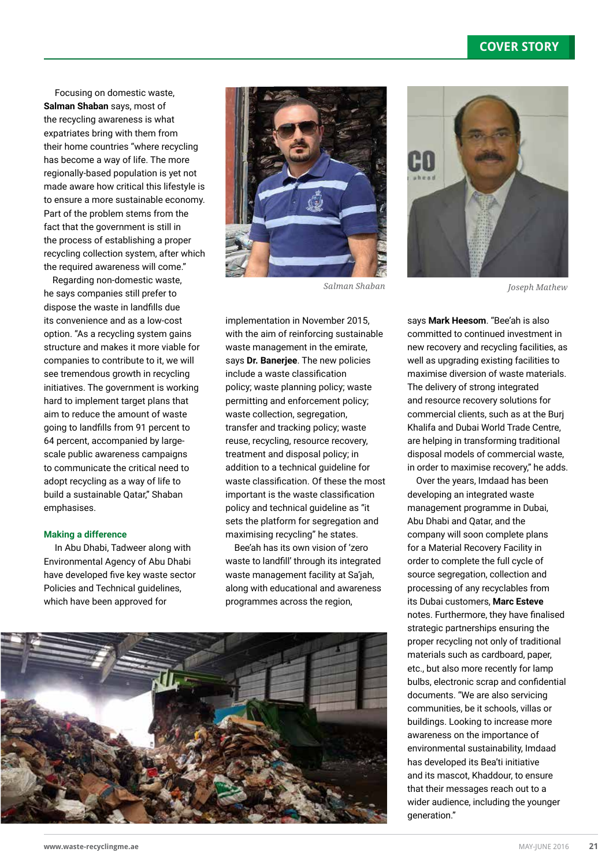Focusing on domestic waste, **Salman Shaban** says, most of the recycling awareness is what expatriates bring with them from their home countries "where recycling has become a way of life. The more regionally-based population is yet not made aware how critical this lifestyle is to ensure a more sustainable economy. Part of the problem stems from the fact that the government is still in the process of establishing a proper recycling collection system, after which the required awareness will come."

Regarding non-domestic waste, he says companies still prefer to dispose the waste in landfills due its convenience and as a low-cost option. "As a recycling system gains structure and makes it more viable for companies to contribute to it, we will see tremendous growth in recycling initiatives. The government is working hard to implement target plans that aim to reduce the amount of waste going to landfills from 91 percent to 64 percent, accompanied by largescale public awareness campaigns to communicate the critical need to adopt recycling as a way of life to build a sustainable Qatar," Shaban emphasises.

#### **Making a difference**

 In Abu Dhabi, Tadweer along with Environmental Agency of Abu Dhabi have developed five key waste sector Policies and Technical guidelines, which have been approved for



implementation in November 2015, with the aim of reinforcing sustainable waste management in the emirate, says **Dr. Banerjee**. The new policies include a waste classification policy; waste planning policy; waste permitting and enforcement policy; waste collection, segregation, transfer and tracking policy; waste reuse, recycling, resource recovery, treatment and disposal policy; in addition to a technical guideline for waste classification. Of these the most important is the waste classification policy and technical guideline as "it sets the platform for segregation and maximising recycling" he states.

Bee'ah has its own vision of 'zero waste to landfill' through its integrated waste management facility at Sa'jah, along with educational and awareness programmes across the region,





says **Mark Heesom**. "Bee'ah is also committed to continued investment in new recovery and recycling facilities, as well as upgrading existing facilities to maximise diversion of waste materials. The delivery of strong integrated and resource recovery solutions for commercial clients, such as at the Burj Khalifa and Dubai World Trade Centre, are helping in transforming traditional disposal models of commercial waste, in order to maximise recovery," he adds.

Over the years, Imdaad has been developing an integrated waste management programme in Dubai, Abu Dhabi and Qatar, and the company will soon complete plans for a Material Recovery Facility in order to complete the full cycle of source segregation, collection and processing of any recyclables from its Dubai customers, **Marc Esteve** notes. Furthermore, they have finalised strategic partnerships ensuring the proper recycling not only of traditional materials such as cardboard, paper, etc., but also more recently for lamp bulbs, electronic scrap and confidential documents. "We are also servicing communities, be it schools, villas or buildings. Looking to increase more awareness on the importance of environmental sustainability, Imdaad has developed its Bea'ti initiative and its mascot, Khaddour, to ensure that their messages reach out to a wider audience, including the younger generation."